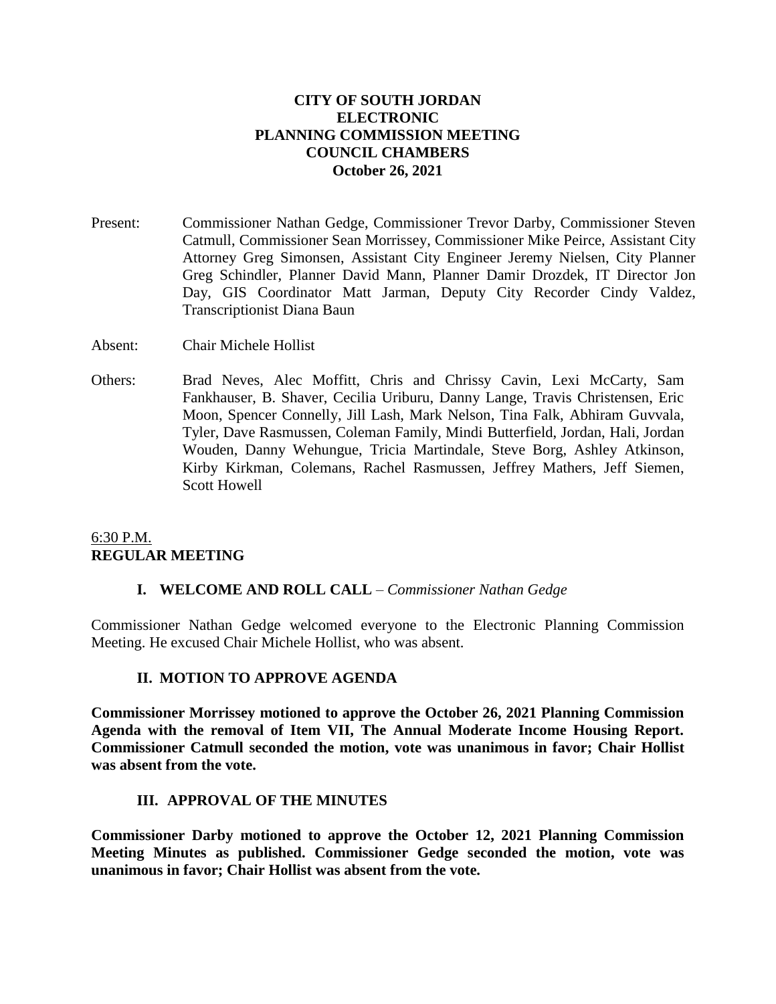## **CITY OF SOUTH JORDAN ELECTRONIC PLANNING COMMISSION MEETING COUNCIL CHAMBERS October 26, 2021**

- Present: Commissioner Nathan Gedge, Commissioner Trevor Darby, Commissioner Steven Catmull, Commissioner Sean Morrissey, Commissioner Mike Peirce, Assistant City Attorney Greg Simonsen, Assistant City Engineer Jeremy Nielsen, City Planner Greg Schindler, Planner David Mann, Planner Damir Drozdek, IT Director Jon Day, GIS Coordinator Matt Jarman, Deputy City Recorder Cindy Valdez, Transcriptionist Diana Baun
- Absent: Chair Michele Hollist
- Others: Brad Neves, Alec Moffitt, Chris and Chrissy Cavin, Lexi McCarty, Sam Fankhauser, B. Shaver, Cecilia Uriburu, Danny Lange, Travis Christensen, Eric Moon, Spencer Connelly, Jill Lash, Mark Nelson, Tina Falk, Abhiram Guvvala, Tyler, Dave Rasmussen, Coleman Family, Mindi Butterfield, Jordan, Hali, Jordan Wouden, Danny Wehungue, Tricia Martindale, Steve Borg, Ashley Atkinson, Kirby Kirkman, Colemans, Rachel Rasmussen, Jeffrey Mathers, Jeff Siemen, Scott Howell

# 6:30 P.M. **REGULAR MEETING**

## **I. WELCOME AND ROLL CALL** – *Commissioner Nathan Gedge*

Commissioner Nathan Gedge welcomed everyone to the Electronic Planning Commission Meeting. He excused Chair Michele Hollist, who was absent.

## **II. MOTION TO APPROVE AGENDA**

**Commissioner Morrissey motioned to approve the October 26, 2021 Planning Commission Agenda with the removal of Item VII, The Annual Moderate Income Housing Report. Commissioner Catmull seconded the motion, vote was unanimous in favor; Chair Hollist was absent from the vote.**

## **III. APPROVAL OF THE MINUTES**

**Commissioner Darby motioned to approve the October 12, 2021 Planning Commission Meeting Minutes as published. Commissioner Gedge seconded the motion, vote was unanimous in favor; Chair Hollist was absent from the vote.**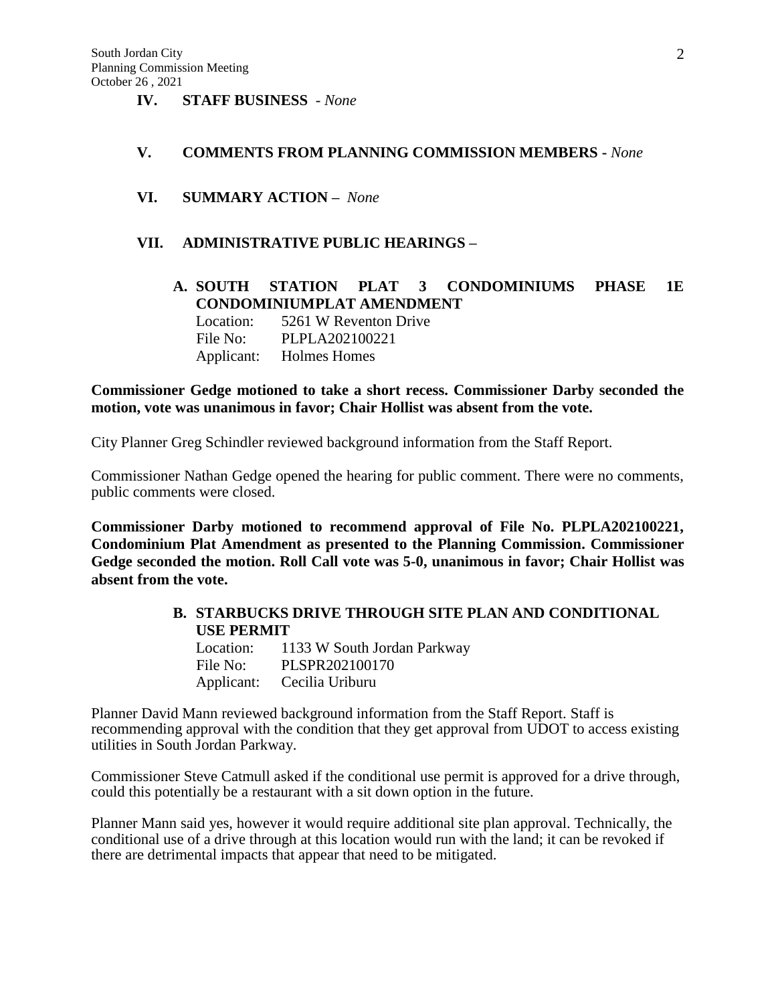**IV. STAFF BUSINESS** - *None*

#### **V. COMMENTS FROM PLANNING COMMISSION MEMBERS -** *None*

**VI. SUMMARY ACTION –** *None*

## **VII. ADMINISTRATIVE PUBLIC HEARINGS –**

**A. SOUTH STATION PLAT 3 CONDOMINIUMS PHASE 1E CONDOMINIUMPLAT AMENDMENT** Location: 5261 W Reventon Drive File No: PLPLA202100221 Applicant: Holmes Homes

## **Commissioner Gedge motioned to take a short recess. Commissioner Darby seconded the motion, vote was unanimous in favor; Chair Hollist was absent from the vote.**

City Planner Greg Schindler reviewed background information from the Staff Report.

Commissioner Nathan Gedge opened the hearing for public comment. There were no comments, public comments were closed.

**Commissioner Darby motioned to recommend approval of File No. PLPLA202100221, Condominium Plat Amendment as presented to the Planning Commission. Commissioner Gedge seconded the motion. Roll Call vote was 5-0, unanimous in favor; Chair Hollist was absent from the vote.**

# **B. STARBUCKS DRIVE THROUGH SITE PLAN AND CONDITIONAL USE PERMIT**

| Location: | 1133 W South Jordan Parkway |
|-----------|-----------------------------|
| File No:  | PLSPR202100170              |
|           | Applicant: Cecilia Uriburu  |

Planner David Mann reviewed background information from the Staff Report. Staff is recommending approval with the condition that they get approval from UDOT to access existing utilities in South Jordan Parkway.

Commissioner Steve Catmull asked if the conditional use permit is approved for a drive through, could this potentially be a restaurant with a sit down option in the future.

Planner Mann said yes, however it would require additional site plan approval. Technically, the conditional use of a drive through at this location would run with the land; it can be revoked if there are detrimental impacts that appear that need to be mitigated.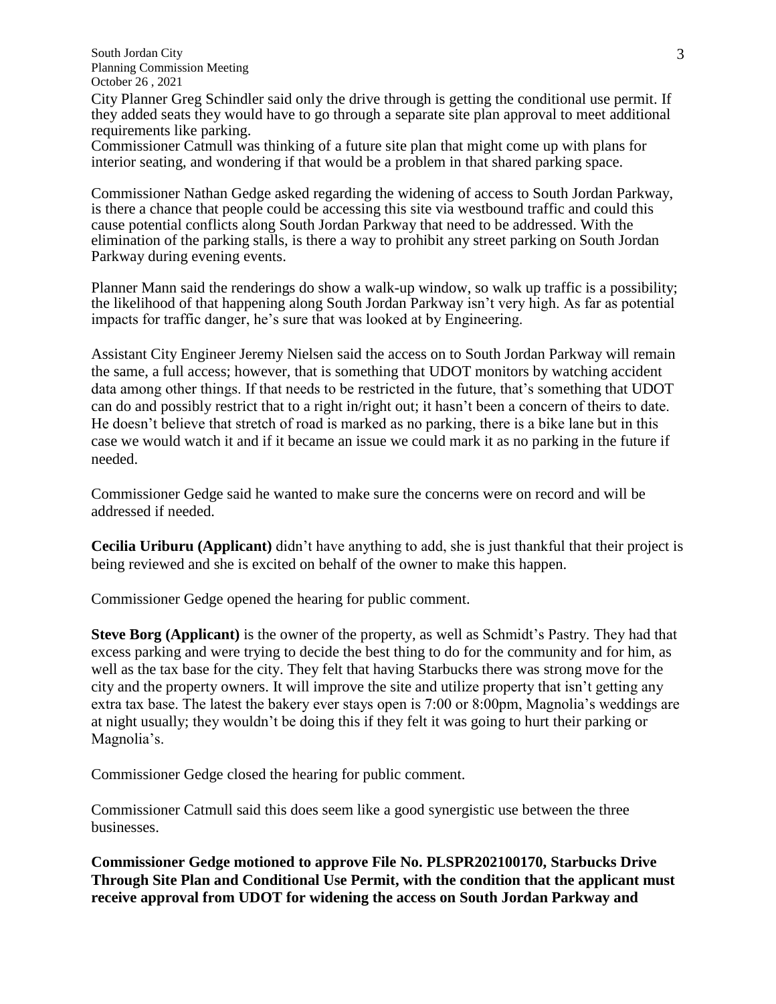South Jordan City Planning Commission Meeting October 26 , 2021

City Planner Greg Schindler said only the drive through is getting the conditional use permit. If they added seats they would have to go through a separate site plan approval to meet additional requirements like parking.

Commissioner Catmull was thinking of a future site plan that might come up with plans for interior seating, and wondering if that would be a problem in that shared parking space.

Commissioner Nathan Gedge asked regarding the widening of access to South Jordan Parkway, is there a chance that people could be accessing this site via westbound traffic and could this cause potential conflicts along South Jordan Parkway that need to be addressed. With the elimination of the parking stalls, is there a way to prohibit any street parking on South Jordan Parkway during evening events.

Planner Mann said the renderings do show a walk-up window, so walk up traffic is a possibility; the likelihood of that happening along South Jordan Parkway isn't very high. As far as potential impacts for traffic danger, he's sure that was looked at by Engineering.

Assistant City Engineer Jeremy Nielsen said the access on to South Jordan Parkway will remain the same, a full access; however, that is something that UDOT monitors by watching accident data among other things. If that needs to be restricted in the future, that's something that UDOT can do and possibly restrict that to a right in/right out; it hasn't been a concern of theirs to date. He doesn't believe that stretch of road is marked as no parking, there is a bike lane but in this case we would watch it and if it became an issue we could mark it as no parking in the future if needed.

Commissioner Gedge said he wanted to make sure the concerns were on record and will be addressed if needed.

**Cecilia Uriburu (Applicant)** didn't have anything to add, she is just thankful that their project is being reviewed and she is excited on behalf of the owner to make this happen.

Commissioner Gedge opened the hearing for public comment.

**Steve Borg (Applicant)** is the owner of the property, as well as Schmidt's Pastry. They had that excess parking and were trying to decide the best thing to do for the community and for him, as well as the tax base for the city. They felt that having Starbucks there was strong move for the city and the property owners. It will improve the site and utilize property that isn't getting any extra tax base. The latest the bakery ever stays open is 7:00 or 8:00pm, Magnolia's weddings are at night usually; they wouldn't be doing this if they felt it was going to hurt their parking or Magnolia's.

Commissioner Gedge closed the hearing for public comment.

Commissioner Catmull said this does seem like a good synergistic use between the three businesses.

**Commissioner Gedge motioned to approve File No. PLSPR202100170, Starbucks Drive Through Site Plan and Conditional Use Permit, with the condition that the applicant must receive approval from UDOT for widening the access on South Jordan Parkway and**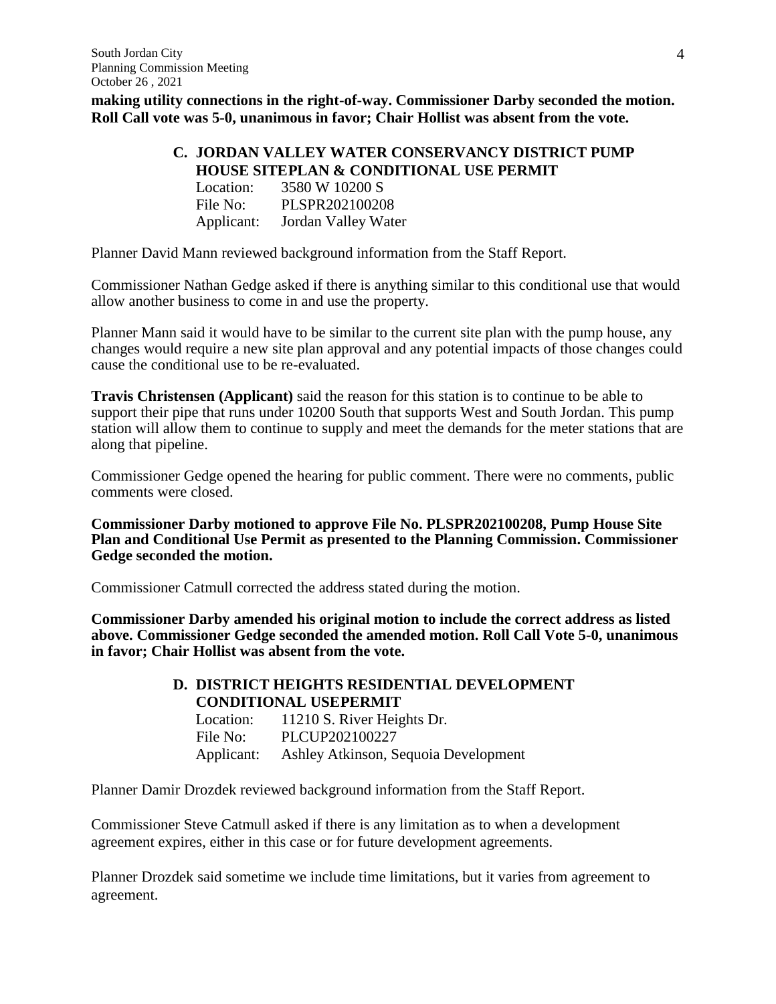**making utility connections in the right-of-way. Commissioner Darby seconded the motion. Roll Call vote was 5-0, unanimous in favor; Chair Hollist was absent from the vote.**

# **C. JORDAN VALLEY WATER CONSERVANCY DISTRICT PUMP HOUSE SITEPLAN & CONDITIONAL USE PERMIT**

| Location:  | 3580 W 10200 S      |
|------------|---------------------|
| File No:   | PLSPR202100208      |
| Applicant: | Jordan Valley Water |

Planner David Mann reviewed background information from the Staff Report.

Commissioner Nathan Gedge asked if there is anything similar to this conditional use that would allow another business to come in and use the property.

Planner Mann said it would have to be similar to the current site plan with the pump house, any changes would require a new site plan approval and any potential impacts of those changes could cause the conditional use to be re-evaluated.

**Travis Christensen (Applicant)** said the reason for this station is to continue to be able to support their pipe that runs under 10200 South that supports West and South Jordan. This pump station will allow them to continue to supply and meet the demands for the meter stations that are along that pipeline.

Commissioner Gedge opened the hearing for public comment. There were no comments, public comments were closed.

**Commissioner Darby motioned to approve File No. PLSPR202100208, Pump House Site Plan and Conditional Use Permit as presented to the Planning Commission. Commissioner Gedge seconded the motion.** 

Commissioner Catmull corrected the address stated during the motion.

**Commissioner Darby amended his original motion to include the correct address as listed above. Commissioner Gedge seconded the amended motion. Roll Call Vote 5-0, unanimous in favor; Chair Hollist was absent from the vote.**

## **D. DISTRICT HEIGHTS RESIDENTIAL DEVELOPMENT CONDITIONAL USEPERMIT**

| Location:  | 11210 S. River Heights Dr.           |
|------------|--------------------------------------|
| File No:   | PLCUP202100227                       |
| Applicant: | Ashley Atkinson, Sequoia Development |

Planner Damir Drozdek reviewed background information from the Staff Report.

Commissioner Steve Catmull asked if there is any limitation as to when a development agreement expires, either in this case or for future development agreements.

Planner Drozdek said sometime we include time limitations, but it varies from agreement to agreement.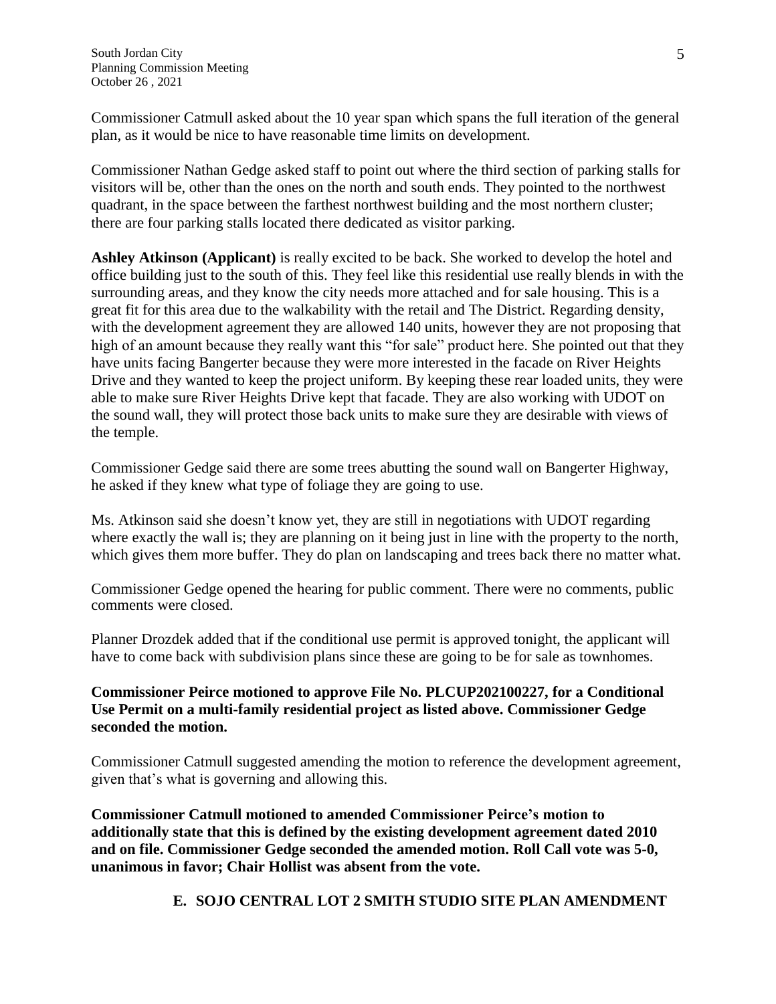Commissioner Catmull asked about the 10 year span which spans the full iteration of the general plan, as it would be nice to have reasonable time limits on development.

Commissioner Nathan Gedge asked staff to point out where the third section of parking stalls for visitors will be, other than the ones on the north and south ends. They pointed to the northwest quadrant, in the space between the farthest northwest building and the most northern cluster; there are four parking stalls located there dedicated as visitor parking.

**Ashley Atkinson (Applicant)** is really excited to be back. She worked to develop the hotel and office building just to the south of this. They feel like this residential use really blends in with the surrounding areas, and they know the city needs more attached and for sale housing. This is a great fit for this area due to the walkability with the retail and The District. Regarding density, with the development agreement they are allowed 140 units, however they are not proposing that high of an amount because they really want this "for sale" product here. She pointed out that they have units facing Bangerter because they were more interested in the facade on River Heights Drive and they wanted to keep the project uniform. By keeping these rear loaded units, they were able to make sure River Heights Drive kept that facade. They are also working with UDOT on the sound wall, they will protect those back units to make sure they are desirable with views of the temple.

Commissioner Gedge said there are some trees abutting the sound wall on Bangerter Highway, he asked if they knew what type of foliage they are going to use.

Ms. Atkinson said she doesn't know yet, they are still in negotiations with UDOT regarding where exactly the wall is; they are planning on it being just in line with the property to the north, which gives them more buffer. They do plan on landscaping and trees back there no matter what.

Commissioner Gedge opened the hearing for public comment. There were no comments, public comments were closed.

Planner Drozdek added that if the conditional use permit is approved tonight, the applicant will have to come back with subdivision plans since these are going to be for sale as townhomes.

# **Commissioner Peirce motioned to approve File No. PLCUP202100227, for a Conditional Use Permit on a multi-family residential project as listed above. Commissioner Gedge seconded the motion.**

Commissioner Catmull suggested amending the motion to reference the development agreement, given that's what is governing and allowing this.

**Commissioner Catmull motioned to amended Commissioner Peirce's motion to additionally state that this is defined by the existing development agreement dated 2010 and on file. Commissioner Gedge seconded the amended motion. Roll Call vote was 5-0, unanimous in favor; Chair Hollist was absent from the vote.**

# **E. SOJO CENTRAL LOT 2 SMITH STUDIO SITE PLAN AMENDMENT**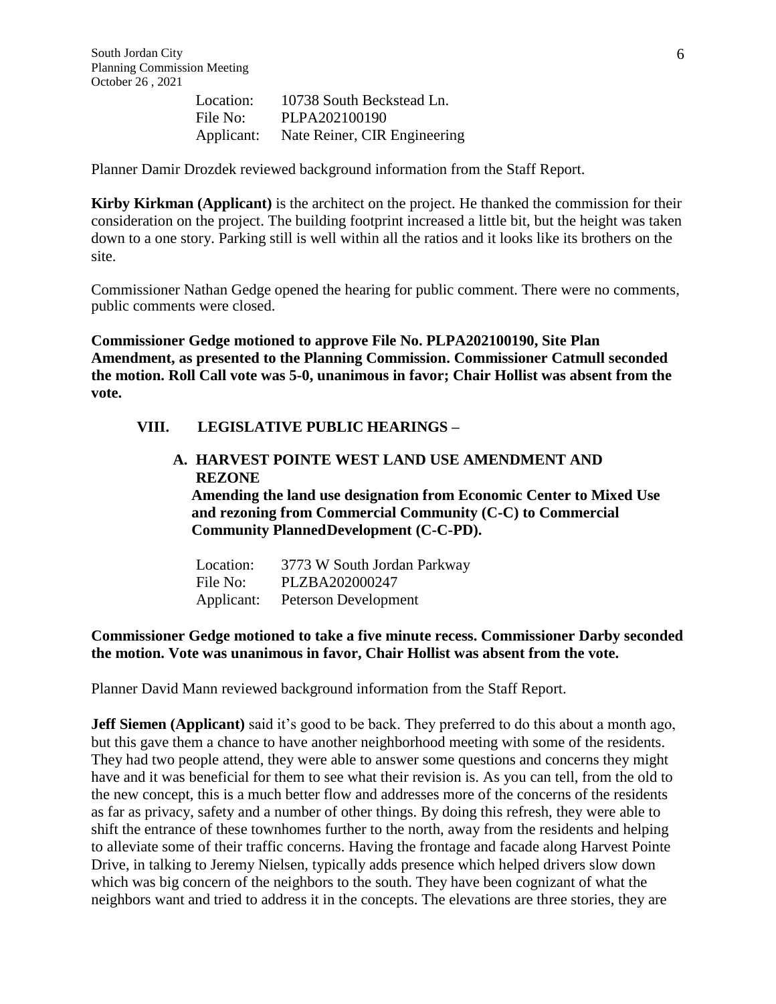Location: 10738 South Beckstead Ln. File No: PLPA202100190 Applicant: Nate Reiner, CIR Engineering

Planner Damir Drozdek reviewed background information from the Staff Report.

**Kirby Kirkman (Applicant)** is the architect on the project. He thanked the commission for their consideration on the project. The building footprint increased a little bit, but the height was taken down to a one story. Parking still is well within all the ratios and it looks like its brothers on the site.

Commissioner Nathan Gedge opened the hearing for public comment. There were no comments, public comments were closed.

**Commissioner Gedge motioned to approve File No. PLPA202100190, Site Plan Amendment, as presented to the Planning Commission. Commissioner Catmull seconded the motion. Roll Call vote was 5-0, unanimous in favor; Chair Hollist was absent from the vote.**

### **VIII. LEGISLATIVE PUBLIC HEARINGS –**

## **A. HARVEST POINTE WEST LAND USE AMENDMENT AND REZONE Amending the land use designation from Economic Center to Mixed Use and rezoning from Commercial Community (C-C) to Commercial**

**Community PlannedDevelopment (C-C-PD).**

| Location:  | 3773 W South Jordan Parkway |
|------------|-----------------------------|
| File No:   | PLZBA202000247              |
| Applicant: | Peterson Development        |

## **Commissioner Gedge motioned to take a five minute recess. Commissioner Darby seconded the motion. Vote was unanimous in favor, Chair Hollist was absent from the vote.**

Planner David Mann reviewed background information from the Staff Report.

**Jeff Siemen (Applicant)** said it's good to be back. They preferred to do this about a month ago, but this gave them a chance to have another neighborhood meeting with some of the residents. They had two people attend, they were able to answer some questions and concerns they might have and it was beneficial for them to see what their revision is. As you can tell, from the old to the new concept, this is a much better flow and addresses more of the concerns of the residents as far as privacy, safety and a number of other things. By doing this refresh, they were able to shift the entrance of these townhomes further to the north, away from the residents and helping to alleviate some of their traffic concerns. Having the frontage and facade along Harvest Pointe Drive, in talking to Jeremy Nielsen, typically adds presence which helped drivers slow down which was big concern of the neighbors to the south. They have been cognizant of what the neighbors want and tried to address it in the concepts. The elevations are three stories, they are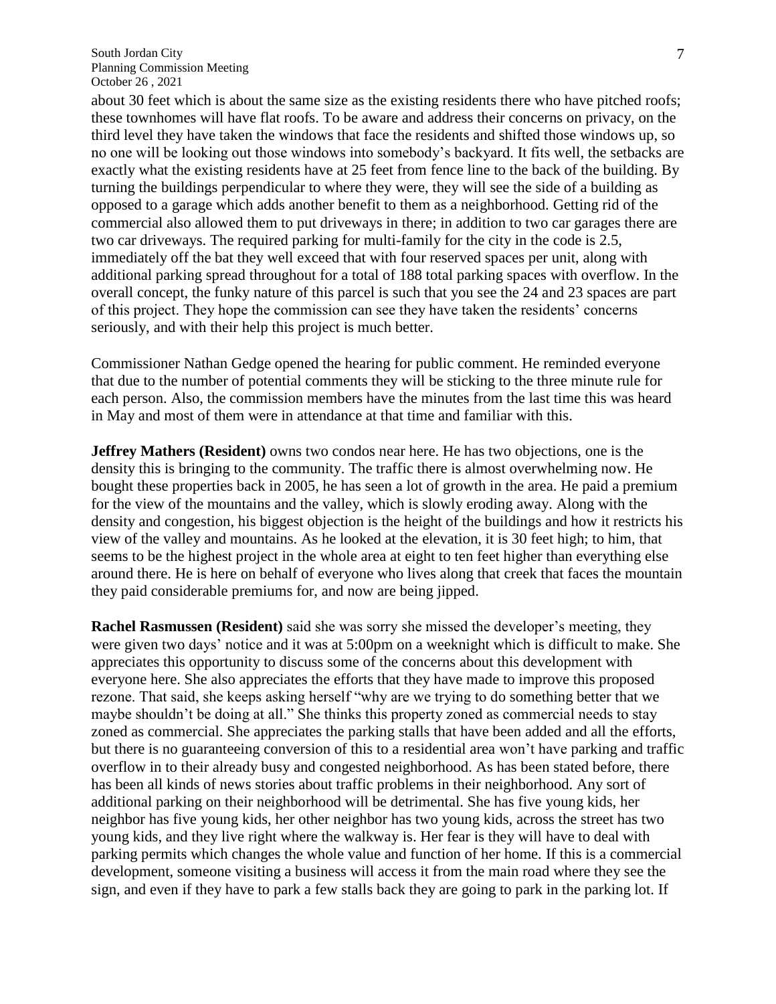about 30 feet which is about the same size as the existing residents there who have pitched roofs; these townhomes will have flat roofs. To be aware and address their concerns on privacy, on the third level they have taken the windows that face the residents and shifted those windows up, so no one will be looking out those windows into somebody's backyard. It fits well, the setbacks are exactly what the existing residents have at 25 feet from fence line to the back of the building. By turning the buildings perpendicular to where they were, they will see the side of a building as opposed to a garage which adds another benefit to them as a neighborhood. Getting rid of the commercial also allowed them to put driveways in there; in addition to two car garages there are two car driveways. The required parking for multi-family for the city in the code is 2.5, immediately off the bat they well exceed that with four reserved spaces per unit, along with additional parking spread throughout for a total of 188 total parking spaces with overflow. In the overall concept, the funky nature of this parcel is such that you see the 24 and 23 spaces are part of this project. They hope the commission can see they have taken the residents' concerns seriously, and with their help this project is much better.

Commissioner Nathan Gedge opened the hearing for public comment. He reminded everyone that due to the number of potential comments they will be sticking to the three minute rule for each person. Also, the commission members have the minutes from the last time this was heard in May and most of them were in attendance at that time and familiar with this.

**Jeffrey Mathers (Resident)** owns two condos near here. He has two objections, one is the density this is bringing to the community. The traffic there is almost overwhelming now. He bought these properties back in 2005, he has seen a lot of growth in the area. He paid a premium for the view of the mountains and the valley, which is slowly eroding away. Along with the density and congestion, his biggest objection is the height of the buildings and how it restricts his view of the valley and mountains. As he looked at the elevation, it is 30 feet high; to him, that seems to be the highest project in the whole area at eight to ten feet higher than everything else around there. He is here on behalf of everyone who lives along that creek that faces the mountain they paid considerable premiums for, and now are being jipped.

**Rachel Rasmussen (Resident)** said she was sorry she missed the developer's meeting, they were given two days' notice and it was at 5:00pm on a weeknight which is difficult to make. She appreciates this opportunity to discuss some of the concerns about this development with everyone here. She also appreciates the efforts that they have made to improve this proposed rezone. That said, she keeps asking herself "why are we trying to do something better that we maybe shouldn't be doing at all." She thinks this property zoned as commercial needs to stay zoned as commercial. She appreciates the parking stalls that have been added and all the efforts, but there is no guaranteeing conversion of this to a residential area won't have parking and traffic overflow in to their already busy and congested neighborhood. As has been stated before, there has been all kinds of news stories about traffic problems in their neighborhood. Any sort of additional parking on their neighborhood will be detrimental. She has five young kids, her neighbor has five young kids, her other neighbor has two young kids, across the street has two young kids, and they live right where the walkway is. Her fear is they will have to deal with parking permits which changes the whole value and function of her home. If this is a commercial development, someone visiting a business will access it from the main road where they see the sign, and even if they have to park a few stalls back they are going to park in the parking lot. If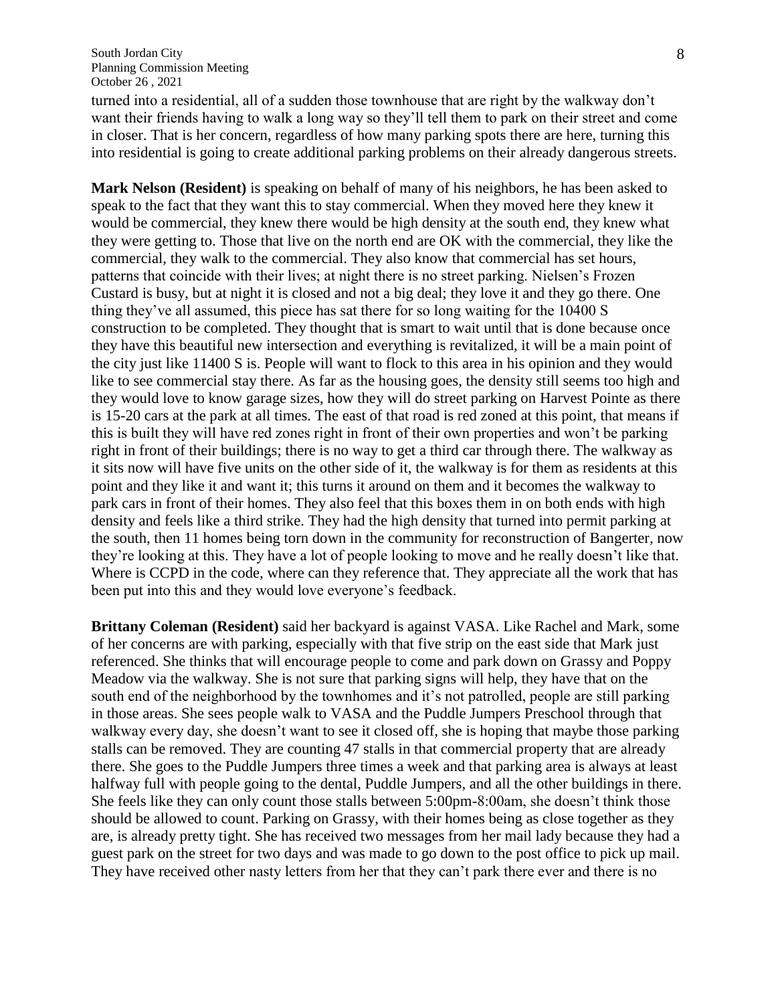turned into a residential, all of a sudden those townhouse that are right by the walkway don't want their friends having to walk a long way so they'll tell them to park on their street and come in closer. That is her concern, regardless of how many parking spots there are here, turning this into residential is going to create additional parking problems on their already dangerous streets.

**Mark Nelson (Resident)** is speaking on behalf of many of his neighbors, he has been asked to speak to the fact that they want this to stay commercial. When they moved here they knew it would be commercial, they knew there would be high density at the south end, they knew what they were getting to. Those that live on the north end are OK with the commercial, they like the commercial, they walk to the commercial. They also know that commercial has set hours, patterns that coincide with their lives; at night there is no street parking. Nielsen's Frozen Custard is busy, but at night it is closed and not a big deal; they love it and they go there. One thing they've all assumed, this piece has sat there for so long waiting for the 10400 S construction to be completed. They thought that is smart to wait until that is done because once they have this beautiful new intersection and everything is revitalized, it will be a main point of the city just like 11400 S is. People will want to flock to this area in his opinion and they would like to see commercial stay there. As far as the housing goes, the density still seems too high and they would love to know garage sizes, how they will do street parking on Harvest Pointe as there is 15-20 cars at the park at all times. The east of that road is red zoned at this point, that means if this is built they will have red zones right in front of their own properties and won't be parking right in front of their buildings; there is no way to get a third car through there. The walkway as it sits now will have five units on the other side of it, the walkway is for them as residents at this point and they like it and want it; this turns it around on them and it becomes the walkway to park cars in front of their homes. They also feel that this boxes them in on both ends with high density and feels like a third strike. They had the high density that turned into permit parking at the south, then 11 homes being torn down in the community for reconstruction of Bangerter, now they're looking at this. They have a lot of people looking to move and he really doesn't like that. Where is CCPD in the code, where can they reference that. They appreciate all the work that has been put into this and they would love everyone's feedback.

**Brittany Coleman (Resident)** said her backyard is against VASA. Like Rachel and Mark, some of her concerns are with parking, especially with that five strip on the east side that Mark just referenced. She thinks that will encourage people to come and park down on Grassy and Poppy Meadow via the walkway. She is not sure that parking signs will help, they have that on the south end of the neighborhood by the townhomes and it's not patrolled, people are still parking in those areas. She sees people walk to VASA and the Puddle Jumpers Preschool through that walkway every day, she doesn't want to see it closed off, she is hoping that maybe those parking stalls can be removed. They are counting 47 stalls in that commercial property that are already there. She goes to the Puddle Jumpers three times a week and that parking area is always at least halfway full with people going to the dental, Puddle Jumpers, and all the other buildings in there. She feels like they can only count those stalls between 5:00pm-8:00am, she doesn't think those should be allowed to count. Parking on Grassy, with their homes being as close together as they are, is already pretty tight. She has received two messages from her mail lady because they had a guest park on the street for two days and was made to go down to the post office to pick up mail. They have received other nasty letters from her that they can't park there ever and there is no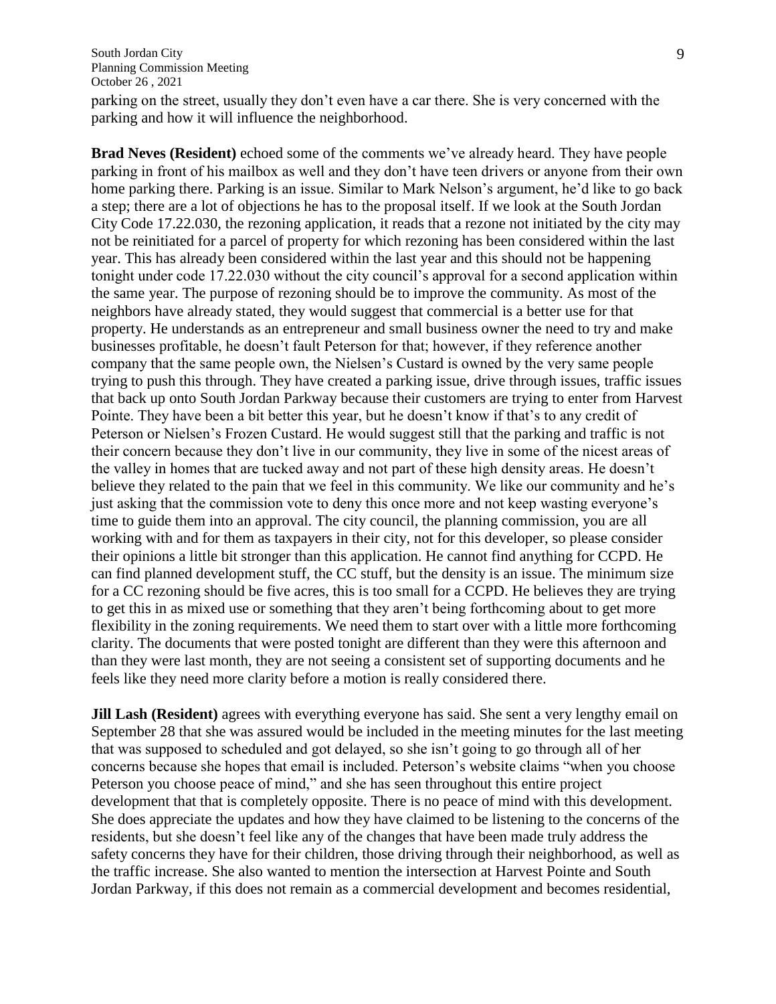parking on the street, usually they don't even have a car there. She is very concerned with the parking and how it will influence the neighborhood.

**Brad Neves (Resident)** echoed some of the comments we've already heard. They have people parking in front of his mailbox as well and they don't have teen drivers or anyone from their own home parking there. Parking is an issue. Similar to Mark Nelson's argument, he'd like to go back a step; there are a lot of objections he has to the proposal itself. If we look at the South Jordan City Code 17.22.030, the rezoning application, it reads that a rezone not initiated by the city may not be reinitiated for a parcel of property for which rezoning has been considered within the last year. This has already been considered within the last year and this should not be happening tonight under code 17.22.030 without the city council's approval for a second application within the same year. The purpose of rezoning should be to improve the community. As most of the neighbors have already stated, they would suggest that commercial is a better use for that property. He understands as an entrepreneur and small business owner the need to try and make businesses profitable, he doesn't fault Peterson for that; however, if they reference another company that the same people own, the Nielsen's Custard is owned by the very same people trying to push this through. They have created a parking issue, drive through issues, traffic issues that back up onto South Jordan Parkway because their customers are trying to enter from Harvest Pointe. They have been a bit better this year, but he doesn't know if that's to any credit of Peterson or Nielsen's Frozen Custard. He would suggest still that the parking and traffic is not their concern because they don't live in our community, they live in some of the nicest areas of the valley in homes that are tucked away and not part of these high density areas. He doesn't believe they related to the pain that we feel in this community. We like our community and he's just asking that the commission vote to deny this once more and not keep wasting everyone's time to guide them into an approval. The city council, the planning commission, you are all working with and for them as taxpayers in their city, not for this developer, so please consider their opinions a little bit stronger than this application. He cannot find anything for CCPD. He can find planned development stuff, the CC stuff, but the density is an issue. The minimum size for a CC rezoning should be five acres, this is too small for a CCPD. He believes they are trying to get this in as mixed use or something that they aren't being forthcoming about to get more flexibility in the zoning requirements. We need them to start over with a little more forthcoming clarity. The documents that were posted tonight are different than they were this afternoon and than they were last month, they are not seeing a consistent set of supporting documents and he feels like they need more clarity before a motion is really considered there.

**Jill Lash (Resident)** agrees with everything everyone has said. She sent a very lengthy email on September 28 that she was assured would be included in the meeting minutes for the last meeting that was supposed to scheduled and got delayed, so she isn't going to go through all of her concerns because she hopes that email is included. Peterson's website claims "when you choose Peterson you choose peace of mind," and she has seen throughout this entire project development that that is completely opposite. There is no peace of mind with this development. She does appreciate the updates and how they have claimed to be listening to the concerns of the residents, but she doesn't feel like any of the changes that have been made truly address the safety concerns they have for their children, those driving through their neighborhood, as well as the traffic increase. She also wanted to mention the intersection at Harvest Pointe and South Jordan Parkway, if this does not remain as a commercial development and becomes residential,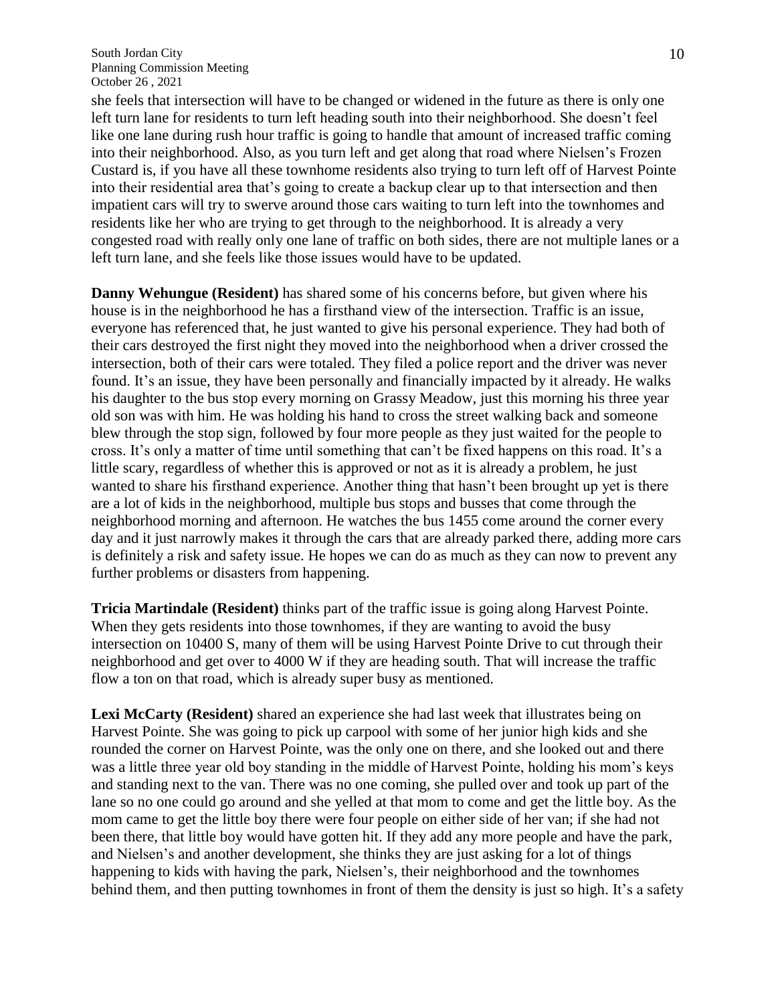she feels that intersection will have to be changed or widened in the future as there is only one left turn lane for residents to turn left heading south into their neighborhood. She doesn't feel like one lane during rush hour traffic is going to handle that amount of increased traffic coming into their neighborhood. Also, as you turn left and get along that road where Nielsen's Frozen Custard is, if you have all these townhome residents also trying to turn left off of Harvest Pointe into their residential area that's going to create a backup clear up to that intersection and then impatient cars will try to swerve around those cars waiting to turn left into the townhomes and residents like her who are trying to get through to the neighborhood. It is already a very congested road with really only one lane of traffic on both sides, there are not multiple lanes or a left turn lane, and she feels like those issues would have to be updated.

**Danny Wehungue (Resident)** has shared some of his concerns before, but given where his house is in the neighborhood he has a firsthand view of the intersection. Traffic is an issue, everyone has referenced that, he just wanted to give his personal experience. They had both of their cars destroyed the first night they moved into the neighborhood when a driver crossed the intersection, both of their cars were totaled. They filed a police report and the driver was never found. It's an issue, they have been personally and financially impacted by it already. He walks his daughter to the bus stop every morning on Grassy Meadow, just this morning his three year old son was with him. He was holding his hand to cross the street walking back and someone blew through the stop sign, followed by four more people as they just waited for the people to cross. It's only a matter of time until something that can't be fixed happens on this road. It's a little scary, regardless of whether this is approved or not as it is already a problem, he just wanted to share his firsthand experience. Another thing that hasn't been brought up yet is there are a lot of kids in the neighborhood, multiple bus stops and busses that come through the neighborhood morning and afternoon. He watches the bus 1455 come around the corner every day and it just narrowly makes it through the cars that are already parked there, adding more cars is definitely a risk and safety issue. He hopes we can do as much as they can now to prevent any further problems or disasters from happening.

**Tricia Martindale (Resident)** thinks part of the traffic issue is going along Harvest Pointe. When they gets residents into those townhomes, if they are wanting to avoid the busy intersection on 10400 S, many of them will be using Harvest Pointe Drive to cut through their neighborhood and get over to 4000 W if they are heading south. That will increase the traffic flow a ton on that road, which is already super busy as mentioned.

**Lexi McCarty (Resident)** shared an experience she had last week that illustrates being on Harvest Pointe. She was going to pick up carpool with some of her junior high kids and she rounded the corner on Harvest Pointe, was the only one on there, and she looked out and there was a little three year old boy standing in the middle of Harvest Pointe, holding his mom's keys and standing next to the van. There was no one coming, she pulled over and took up part of the lane so no one could go around and she yelled at that mom to come and get the little boy. As the mom came to get the little boy there were four people on either side of her van; if she had not been there, that little boy would have gotten hit. If they add any more people and have the park, and Nielsen's and another development, she thinks they are just asking for a lot of things happening to kids with having the park, Nielsen's, their neighborhood and the townhomes behind them, and then putting townhomes in front of them the density is just so high. It's a safety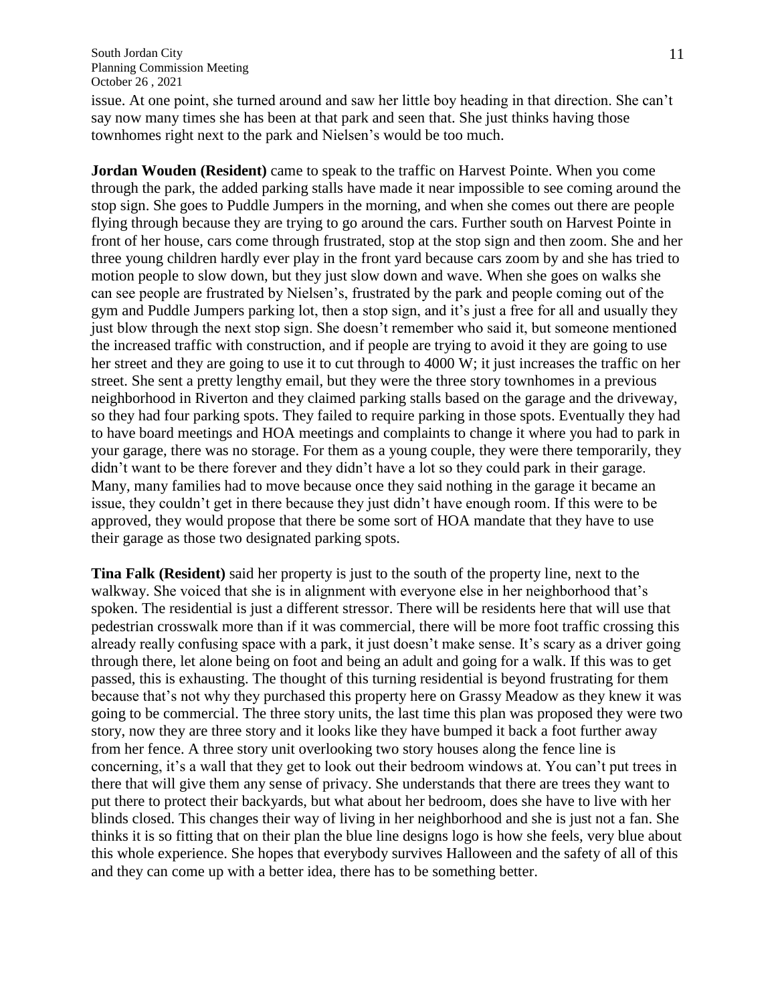issue. At one point, she turned around and saw her little boy heading in that direction. She can't say now many times she has been at that park and seen that. She just thinks having those townhomes right next to the park and Nielsen's would be too much.

**Jordan Wouden (Resident)** came to speak to the traffic on Harvest Pointe. When you come through the park, the added parking stalls have made it near impossible to see coming around the stop sign. She goes to Puddle Jumpers in the morning, and when she comes out there are people flying through because they are trying to go around the cars. Further south on Harvest Pointe in front of her house, cars come through frustrated, stop at the stop sign and then zoom. She and her three young children hardly ever play in the front yard because cars zoom by and she has tried to motion people to slow down, but they just slow down and wave. When she goes on walks she can see people are frustrated by Nielsen's, frustrated by the park and people coming out of the gym and Puddle Jumpers parking lot, then a stop sign, and it's just a free for all and usually they just blow through the next stop sign. She doesn't remember who said it, but someone mentioned the increased traffic with construction, and if people are trying to avoid it they are going to use her street and they are going to use it to cut through to 4000 W; it just increases the traffic on her street. She sent a pretty lengthy email, but they were the three story townhomes in a previous neighborhood in Riverton and they claimed parking stalls based on the garage and the driveway, so they had four parking spots. They failed to require parking in those spots. Eventually they had to have board meetings and HOA meetings and complaints to change it where you had to park in your garage, there was no storage. For them as a young couple, they were there temporarily, they didn't want to be there forever and they didn't have a lot so they could park in their garage. Many, many families had to move because once they said nothing in the garage it became an issue, they couldn't get in there because they just didn't have enough room. If this were to be approved, they would propose that there be some sort of HOA mandate that they have to use their garage as those two designated parking spots.

**Tina Falk (Resident)** said her property is just to the south of the property line, next to the walkway. She voiced that she is in alignment with everyone else in her neighborhood that's spoken. The residential is just a different stressor. There will be residents here that will use that pedestrian crosswalk more than if it was commercial, there will be more foot traffic crossing this already really confusing space with a park, it just doesn't make sense. It's scary as a driver going through there, let alone being on foot and being an adult and going for a walk. If this was to get passed, this is exhausting. The thought of this turning residential is beyond frustrating for them because that's not why they purchased this property here on Grassy Meadow as they knew it was going to be commercial. The three story units, the last time this plan was proposed they were two story, now they are three story and it looks like they have bumped it back a foot further away from her fence. A three story unit overlooking two story houses along the fence line is concerning, it's a wall that they get to look out their bedroom windows at. You can't put trees in there that will give them any sense of privacy. She understands that there are trees they want to put there to protect their backyards, but what about her bedroom, does she have to live with her blinds closed. This changes their way of living in her neighborhood and she is just not a fan. She thinks it is so fitting that on their plan the blue line designs logo is how she feels, very blue about this whole experience. She hopes that everybody survives Halloween and the safety of all of this and they can come up with a better idea, there has to be something better.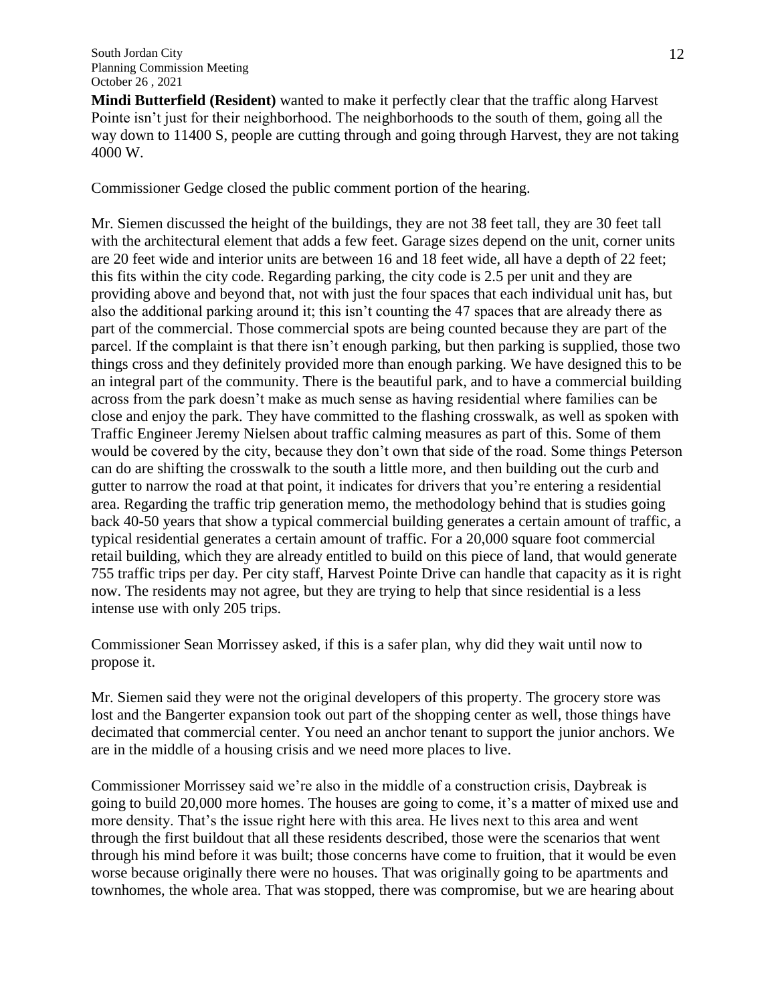**Mindi Butterfield (Resident)** wanted to make it perfectly clear that the traffic along Harvest Pointe isn't just for their neighborhood. The neighborhoods to the south of them, going all the way down to 11400 S, people are cutting through and going through Harvest, they are not taking 4000 W.

Commissioner Gedge closed the public comment portion of the hearing.

Mr. Siemen discussed the height of the buildings, they are not 38 feet tall, they are 30 feet tall with the architectural element that adds a few feet. Garage sizes depend on the unit, corner units are 20 feet wide and interior units are between 16 and 18 feet wide, all have a depth of 22 feet; this fits within the city code. Regarding parking, the city code is 2.5 per unit and they are providing above and beyond that, not with just the four spaces that each individual unit has, but also the additional parking around it; this isn't counting the 47 spaces that are already there as part of the commercial. Those commercial spots are being counted because they are part of the parcel. If the complaint is that there isn't enough parking, but then parking is supplied, those two things cross and they definitely provided more than enough parking. We have designed this to be an integral part of the community. There is the beautiful park, and to have a commercial building across from the park doesn't make as much sense as having residential where families can be close and enjoy the park. They have committed to the flashing crosswalk, as well as spoken with Traffic Engineer Jeremy Nielsen about traffic calming measures as part of this. Some of them would be covered by the city, because they don't own that side of the road. Some things Peterson can do are shifting the crosswalk to the south a little more, and then building out the curb and gutter to narrow the road at that point, it indicates for drivers that you're entering a residential area. Regarding the traffic trip generation memo, the methodology behind that is studies going back 40-50 years that show a typical commercial building generates a certain amount of traffic, a typical residential generates a certain amount of traffic. For a 20,000 square foot commercial retail building, which they are already entitled to build on this piece of land, that would generate 755 traffic trips per day. Per city staff, Harvest Pointe Drive can handle that capacity as it is right now. The residents may not agree, but they are trying to help that since residential is a less intense use with only 205 trips.

Commissioner Sean Morrissey asked, if this is a safer plan, why did they wait until now to propose it.

Mr. Siemen said they were not the original developers of this property. The grocery store was lost and the Bangerter expansion took out part of the shopping center as well, those things have decimated that commercial center. You need an anchor tenant to support the junior anchors. We are in the middle of a housing crisis and we need more places to live.

Commissioner Morrissey said we're also in the middle of a construction crisis, Daybreak is going to build 20,000 more homes. The houses are going to come, it's a matter of mixed use and more density. That's the issue right here with this area. He lives next to this area and went through the first buildout that all these residents described, those were the scenarios that went through his mind before it was built; those concerns have come to fruition, that it would be even worse because originally there were no houses. That was originally going to be apartments and townhomes, the whole area. That was stopped, there was compromise, but we are hearing about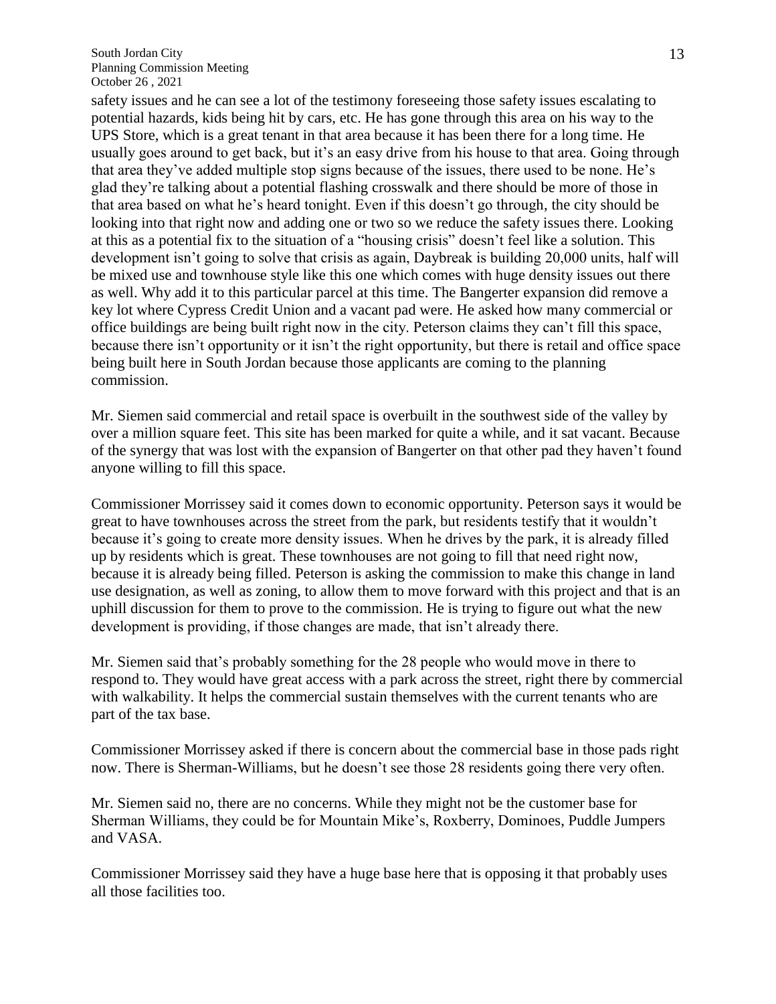safety issues and he can see a lot of the testimony foreseeing those safety issues escalating to potential hazards, kids being hit by cars, etc. He has gone through this area on his way to the UPS Store, which is a great tenant in that area because it has been there for a long time. He usually goes around to get back, but it's an easy drive from his house to that area. Going through that area they've added multiple stop signs because of the issues, there used to be none. He's glad they're talking about a potential flashing crosswalk and there should be more of those in that area based on what he's heard tonight. Even if this doesn't go through, the city should be looking into that right now and adding one or two so we reduce the safety issues there. Looking at this as a potential fix to the situation of a "housing crisis" doesn't feel like a solution. This development isn't going to solve that crisis as again, Daybreak is building 20,000 units, half will be mixed use and townhouse style like this one which comes with huge density issues out there as well. Why add it to this particular parcel at this time. The Bangerter expansion did remove a key lot where Cypress Credit Union and a vacant pad were. He asked how many commercial or office buildings are being built right now in the city. Peterson claims they can't fill this space, because there isn't opportunity or it isn't the right opportunity, but there is retail and office space being built here in South Jordan because those applicants are coming to the planning commission.

Mr. Siemen said commercial and retail space is overbuilt in the southwest side of the valley by over a million square feet. This site has been marked for quite a while, and it sat vacant. Because of the synergy that was lost with the expansion of Bangerter on that other pad they haven't found anyone willing to fill this space.

Commissioner Morrissey said it comes down to economic opportunity. Peterson says it would be great to have townhouses across the street from the park, but residents testify that it wouldn't because it's going to create more density issues. When he drives by the park, it is already filled up by residents which is great. These townhouses are not going to fill that need right now, because it is already being filled. Peterson is asking the commission to make this change in land use designation, as well as zoning, to allow them to move forward with this project and that is an uphill discussion for them to prove to the commission. He is trying to figure out what the new development is providing, if those changes are made, that isn't already there.

Mr. Siemen said that's probably something for the 28 people who would move in there to respond to. They would have great access with a park across the street, right there by commercial with walkability. It helps the commercial sustain themselves with the current tenants who are part of the tax base.

Commissioner Morrissey asked if there is concern about the commercial base in those pads right now. There is Sherman-Williams, but he doesn't see those 28 residents going there very often.

Mr. Siemen said no, there are no concerns. While they might not be the customer base for Sherman Williams, they could be for Mountain Mike's, Roxberry, Dominoes, Puddle Jumpers and VASA.

Commissioner Morrissey said they have a huge base here that is opposing it that probably uses all those facilities too.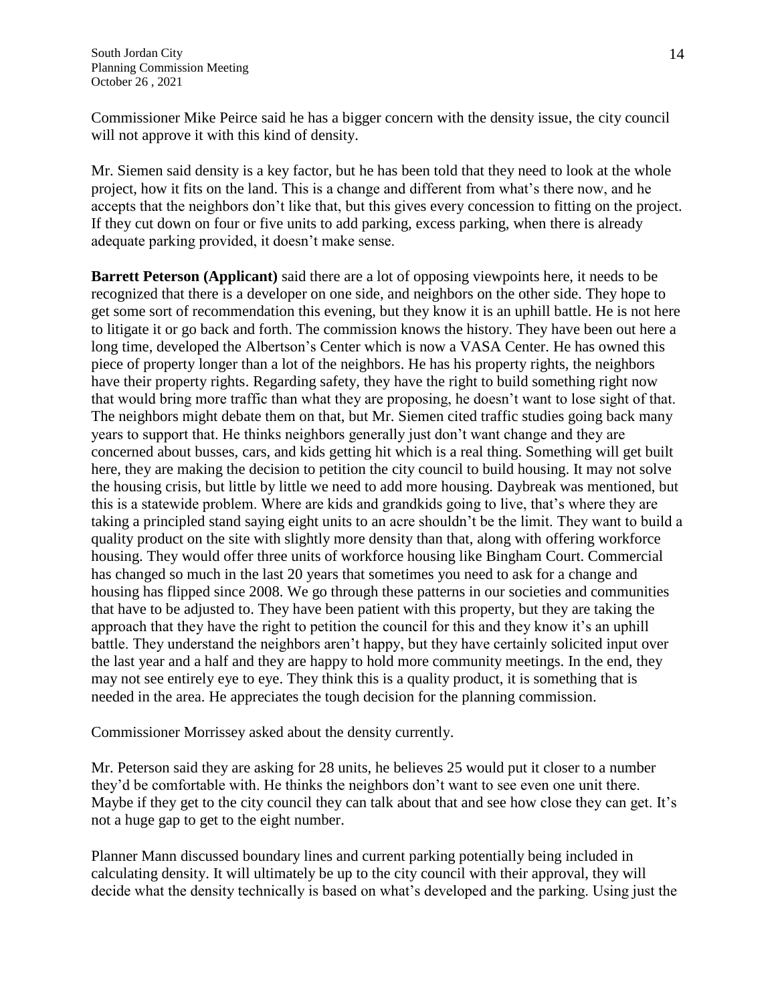Commissioner Mike Peirce said he has a bigger concern with the density issue, the city council will not approve it with this kind of density.

Mr. Siemen said density is a key factor, but he has been told that they need to look at the whole project, how it fits on the land. This is a change and different from what's there now, and he accepts that the neighbors don't like that, but this gives every concession to fitting on the project. If they cut down on four or five units to add parking, excess parking, when there is already adequate parking provided, it doesn't make sense.

**Barrett Peterson (Applicant)** said there are a lot of opposing viewpoints here, it needs to be recognized that there is a developer on one side, and neighbors on the other side. They hope to get some sort of recommendation this evening, but they know it is an uphill battle. He is not here to litigate it or go back and forth. The commission knows the history. They have been out here a long time, developed the Albertson's Center which is now a VASA Center. He has owned this piece of property longer than a lot of the neighbors. He has his property rights, the neighbors have their property rights. Regarding safety, they have the right to build something right now that would bring more traffic than what they are proposing, he doesn't want to lose sight of that. The neighbors might debate them on that, but Mr. Siemen cited traffic studies going back many years to support that. He thinks neighbors generally just don't want change and they are concerned about busses, cars, and kids getting hit which is a real thing. Something will get built here, they are making the decision to petition the city council to build housing. It may not solve the housing crisis, but little by little we need to add more housing. Daybreak was mentioned, but this is a statewide problem. Where are kids and grandkids going to live, that's where they are taking a principled stand saying eight units to an acre shouldn't be the limit. They want to build a quality product on the site with slightly more density than that, along with offering workforce housing. They would offer three units of workforce housing like Bingham Court. Commercial has changed so much in the last 20 years that sometimes you need to ask for a change and housing has flipped since 2008. We go through these patterns in our societies and communities that have to be adjusted to. They have been patient with this property, but they are taking the approach that they have the right to petition the council for this and they know it's an uphill battle. They understand the neighbors aren't happy, but they have certainly solicited input over the last year and a half and they are happy to hold more community meetings. In the end, they may not see entirely eye to eye. They think this is a quality product, it is something that is needed in the area. He appreciates the tough decision for the planning commission.

Commissioner Morrissey asked about the density currently.

Mr. Peterson said they are asking for 28 units, he believes 25 would put it closer to a number they'd be comfortable with. He thinks the neighbors don't want to see even one unit there. Maybe if they get to the city council they can talk about that and see how close they can get. It's not a huge gap to get to the eight number.

Planner Mann discussed boundary lines and current parking potentially being included in calculating density. It will ultimately be up to the city council with their approval, they will decide what the density technically is based on what's developed and the parking. Using just the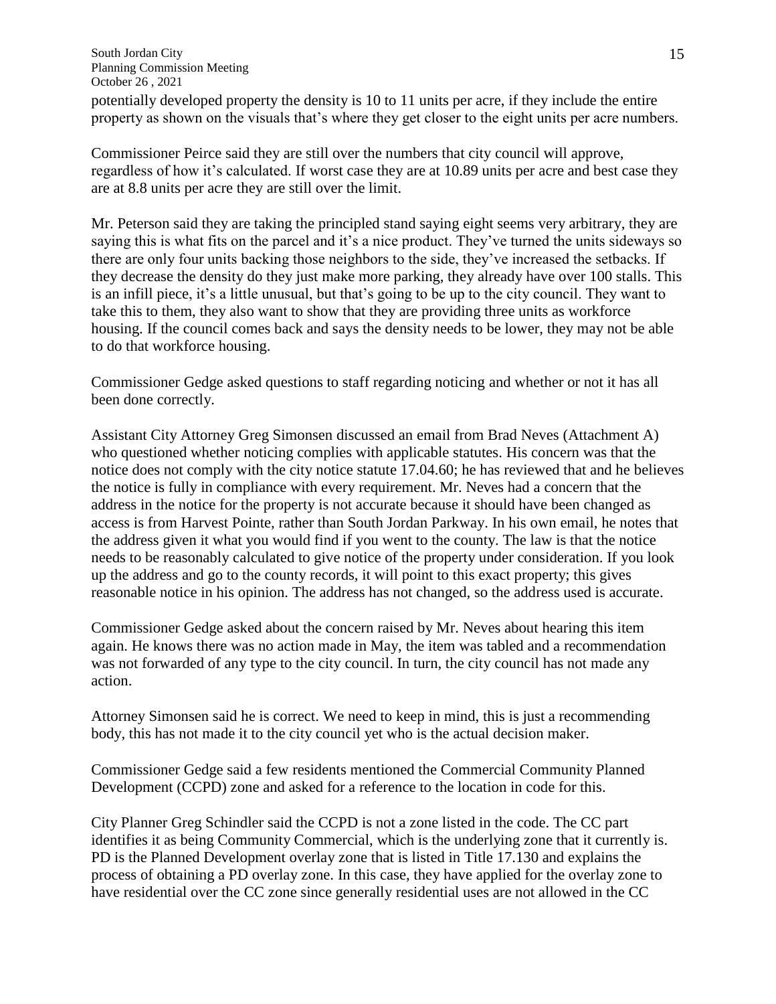#### South Jordan City Planning Commission Meeting October 26 , 2021

potentially developed property the density is 10 to 11 units per acre, if they include the entire property as shown on the visuals that's where they get closer to the eight units per acre numbers.

Commissioner Peirce said they are still over the numbers that city council will approve, regardless of how it's calculated. If worst case they are at 10.89 units per acre and best case they are at 8.8 units per acre they are still over the limit.

Mr. Peterson said they are taking the principled stand saying eight seems very arbitrary, they are saying this is what fits on the parcel and it's a nice product. They've turned the units sideways so there are only four units backing those neighbors to the side, they've increased the setbacks. If they decrease the density do they just make more parking, they already have over 100 stalls. This is an infill piece, it's a little unusual, but that's going to be up to the city council. They want to take this to them, they also want to show that they are providing three units as workforce housing. If the council comes back and says the density needs to be lower, they may not be able to do that workforce housing.

Commissioner Gedge asked questions to staff regarding noticing and whether or not it has all been done correctly.

Assistant City Attorney Greg Simonsen discussed an email from Brad Neves (Attachment A) who questioned whether noticing complies with applicable statutes. His concern was that the notice does not comply with the city notice statute 17.04.60; he has reviewed that and he believes the notice is fully in compliance with every requirement. Mr. Neves had a concern that the address in the notice for the property is not accurate because it should have been changed as access is from Harvest Pointe, rather than South Jordan Parkway. In his own email, he notes that the address given it what you would find if you went to the county. The law is that the notice needs to be reasonably calculated to give notice of the property under consideration. If you look up the address and go to the county records, it will point to this exact property; this gives reasonable notice in his opinion. The address has not changed, so the address used is accurate.

Commissioner Gedge asked about the concern raised by Mr. Neves about hearing this item again. He knows there was no action made in May, the item was tabled and a recommendation was not forwarded of any type to the city council. In turn, the city council has not made any action.

Attorney Simonsen said he is correct. We need to keep in mind, this is just a recommending body, this has not made it to the city council yet who is the actual decision maker.

Commissioner Gedge said a few residents mentioned the Commercial Community Planned Development (CCPD) zone and asked for a reference to the location in code for this.

City Planner Greg Schindler said the CCPD is not a zone listed in the code. The CC part identifies it as being Community Commercial, which is the underlying zone that it currently is. PD is the Planned Development overlay zone that is listed in Title 17.130 and explains the process of obtaining a PD overlay zone. In this case, they have applied for the overlay zone to have residential over the CC zone since generally residential uses are not allowed in the CC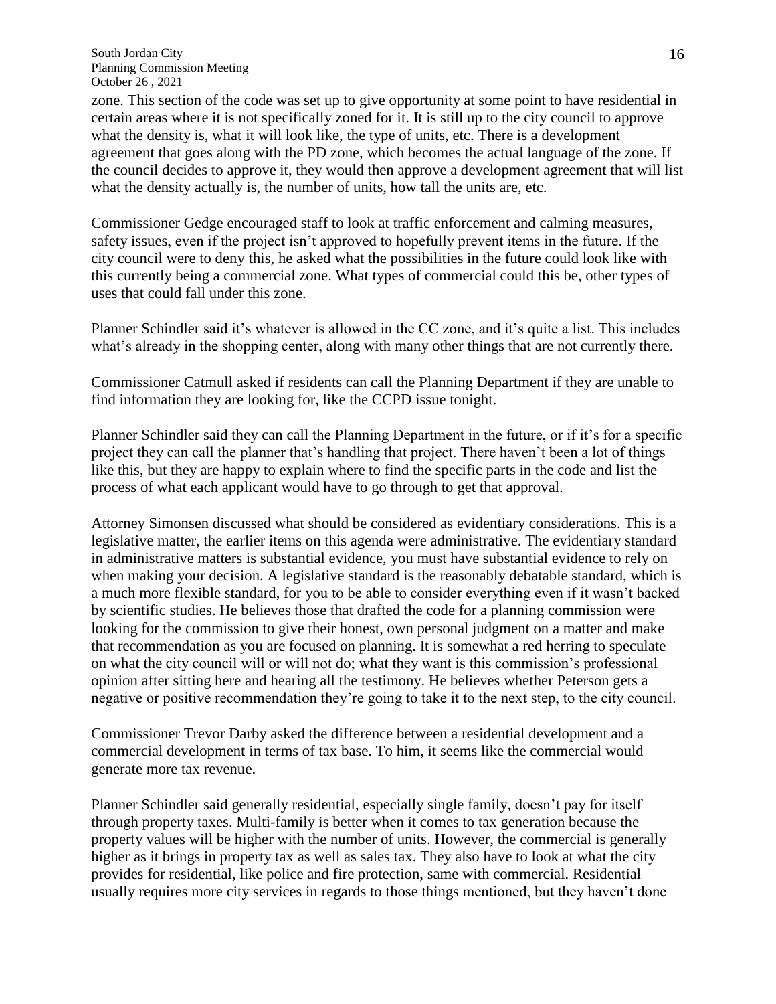South Jordan City Planning Commission Meeting October 26 , 2021

zone. This section of the code was set up to give opportunity at some point to have residential in certain areas where it is not specifically zoned for it. It is still up to the city council to approve what the density is, what it will look like, the type of units, etc. There is a development agreement that goes along with the PD zone, which becomes the actual language of the zone. If the council decides to approve it, they would then approve a development agreement that will list what the density actually is, the number of units, how tall the units are, etc.

Commissioner Gedge encouraged staff to look at traffic enforcement and calming measures, safety issues, even if the project isn't approved to hopefully prevent items in the future. If the city council were to deny this, he asked what the possibilities in the future could look like with this currently being a commercial zone. What types of commercial could this be, other types of uses that could fall under this zone.

Planner Schindler said it's whatever is allowed in the CC zone, and it's quite a list. This includes what's already in the shopping center, along with many other things that are not currently there.

Commissioner Catmull asked if residents can call the Planning Department if they are unable to find information they are looking for, like the CCPD issue tonight.

Planner Schindler said they can call the Planning Department in the future, or if it's for a specific project they can call the planner that's handling that project. There haven't been a lot of things like this, but they are happy to explain where to find the specific parts in the code and list the process of what each applicant would have to go through to get that approval.

Attorney Simonsen discussed what should be considered as evidentiary considerations. This is a legislative matter, the earlier items on this agenda were administrative. The evidentiary standard in administrative matters is substantial evidence, you must have substantial evidence to rely on when making your decision. A legislative standard is the reasonably debatable standard, which is a much more flexible standard, for you to be able to consider everything even if it wasn't backed by scientific studies. He believes those that drafted the code for a planning commission were looking for the commission to give their honest, own personal judgment on a matter and make that recommendation as you are focused on planning. It is somewhat a red herring to speculate on what the city council will or will not do; what they want is this commission's professional opinion after sitting here and hearing all the testimony. He believes whether Peterson gets a negative or positive recommendation they're going to take it to the next step, to the city council.

Commissioner Trevor Darby asked the difference between a residential development and a commercial development in terms of tax base. To him, it seems like the commercial would generate more tax revenue.

Planner Schindler said generally residential, especially single family, doesn't pay for itself through property taxes. Multi-family is better when it comes to tax generation because the property values will be higher with the number of units. However, the commercial is generally higher as it brings in property tax as well as sales tax. They also have to look at what the city provides for residential, like police and fire protection, same with commercial. Residential usually requires more city services in regards to those things mentioned, but they haven't done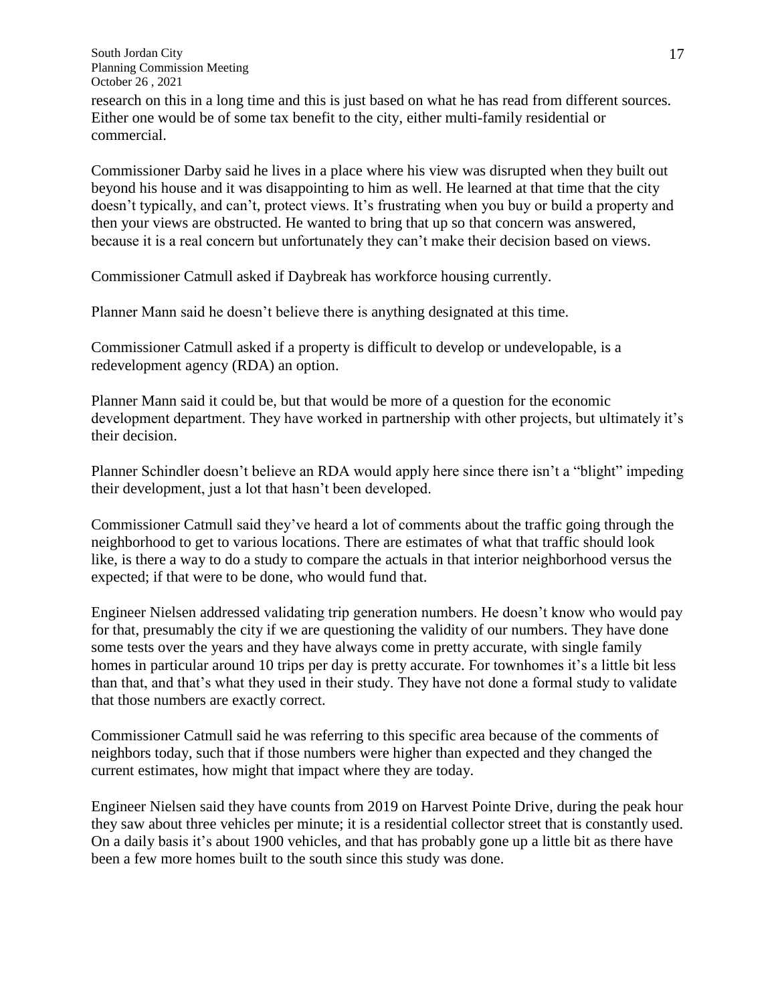research on this in a long time and this is just based on what he has read from different sources. Either one would be of some tax benefit to the city, either multi-family residential or commercial.

Commissioner Darby said he lives in a place where his view was disrupted when they built out beyond his house and it was disappointing to him as well. He learned at that time that the city doesn't typically, and can't, protect views. It's frustrating when you buy or build a property and then your views are obstructed. He wanted to bring that up so that concern was answered, because it is a real concern but unfortunately they can't make their decision based on views.

Commissioner Catmull asked if Daybreak has workforce housing currently.

Planner Mann said he doesn't believe there is anything designated at this time.

Commissioner Catmull asked if a property is difficult to develop or undevelopable, is a redevelopment agency (RDA) an option.

Planner Mann said it could be, but that would be more of a question for the economic development department. They have worked in partnership with other projects, but ultimately it's their decision.

Planner Schindler doesn't believe an RDA would apply here since there isn't a "blight" impeding their development, just a lot that hasn't been developed.

Commissioner Catmull said they've heard a lot of comments about the traffic going through the neighborhood to get to various locations. There are estimates of what that traffic should look like, is there a way to do a study to compare the actuals in that interior neighborhood versus the expected; if that were to be done, who would fund that.

Engineer Nielsen addressed validating trip generation numbers. He doesn't know who would pay for that, presumably the city if we are questioning the validity of our numbers. They have done some tests over the years and they have always come in pretty accurate, with single family homes in particular around 10 trips per day is pretty accurate. For townhomes it's a little bit less than that, and that's what they used in their study. They have not done a formal study to validate that those numbers are exactly correct.

Commissioner Catmull said he was referring to this specific area because of the comments of neighbors today, such that if those numbers were higher than expected and they changed the current estimates, how might that impact where they are today.

Engineer Nielsen said they have counts from 2019 on Harvest Pointe Drive, during the peak hour they saw about three vehicles per minute; it is a residential collector street that is constantly used. On a daily basis it's about 1900 vehicles, and that has probably gone up a little bit as there have been a few more homes built to the south since this study was done.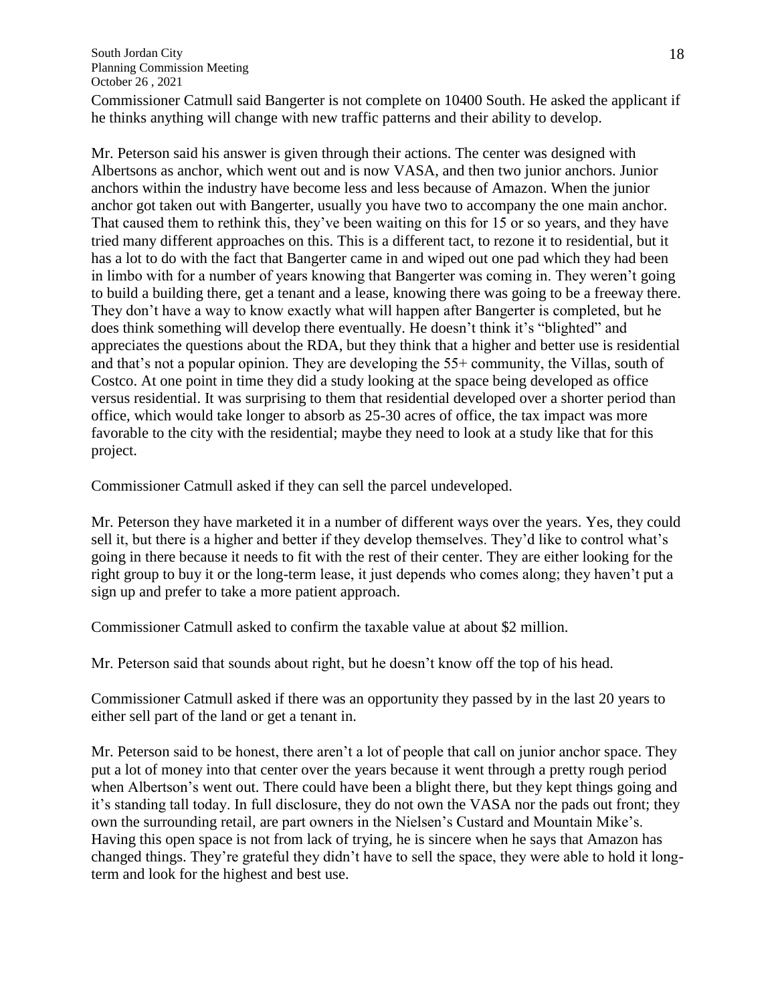Commissioner Catmull said Bangerter is not complete on 10400 South. He asked the applicant if he thinks anything will change with new traffic patterns and their ability to develop.

Mr. Peterson said his answer is given through their actions. The center was designed with Albertsons as anchor, which went out and is now VASA, and then two junior anchors. Junior anchors within the industry have become less and less because of Amazon. When the junior anchor got taken out with Bangerter, usually you have two to accompany the one main anchor. That caused them to rethink this, they've been waiting on this for 15 or so years, and they have tried many different approaches on this. This is a different tact, to rezone it to residential, but it has a lot to do with the fact that Bangerter came in and wiped out one pad which they had been in limbo with for a number of years knowing that Bangerter was coming in. They weren't going to build a building there, get a tenant and a lease, knowing there was going to be a freeway there. They don't have a way to know exactly what will happen after Bangerter is completed, but he does think something will develop there eventually. He doesn't think it's "blighted" and appreciates the questions about the RDA, but they think that a higher and better use is residential and that's not a popular opinion. They are developing the 55+ community, the Villas, south of Costco. At one point in time they did a study looking at the space being developed as office versus residential. It was surprising to them that residential developed over a shorter period than office, which would take longer to absorb as 25-30 acres of office, the tax impact was more favorable to the city with the residential; maybe they need to look at a study like that for this project.

Commissioner Catmull asked if they can sell the parcel undeveloped.

Mr. Peterson they have marketed it in a number of different ways over the years. Yes, they could sell it, but there is a higher and better if they develop themselves. They'd like to control what's going in there because it needs to fit with the rest of their center. They are either looking for the right group to buy it or the long-term lease, it just depends who comes along; they haven't put a sign up and prefer to take a more patient approach.

Commissioner Catmull asked to confirm the taxable value at about \$2 million.

Mr. Peterson said that sounds about right, but he doesn't know off the top of his head.

Commissioner Catmull asked if there was an opportunity they passed by in the last 20 years to either sell part of the land or get a tenant in.

Mr. Peterson said to be honest, there aren't a lot of people that call on junior anchor space. They put a lot of money into that center over the years because it went through a pretty rough period when Albertson's went out. There could have been a blight there, but they kept things going and it's standing tall today. In full disclosure, they do not own the VASA nor the pads out front; they own the surrounding retail, are part owners in the Nielsen's Custard and Mountain Mike's. Having this open space is not from lack of trying, he is sincere when he says that Amazon has changed things. They're grateful they didn't have to sell the space, they were able to hold it longterm and look for the highest and best use.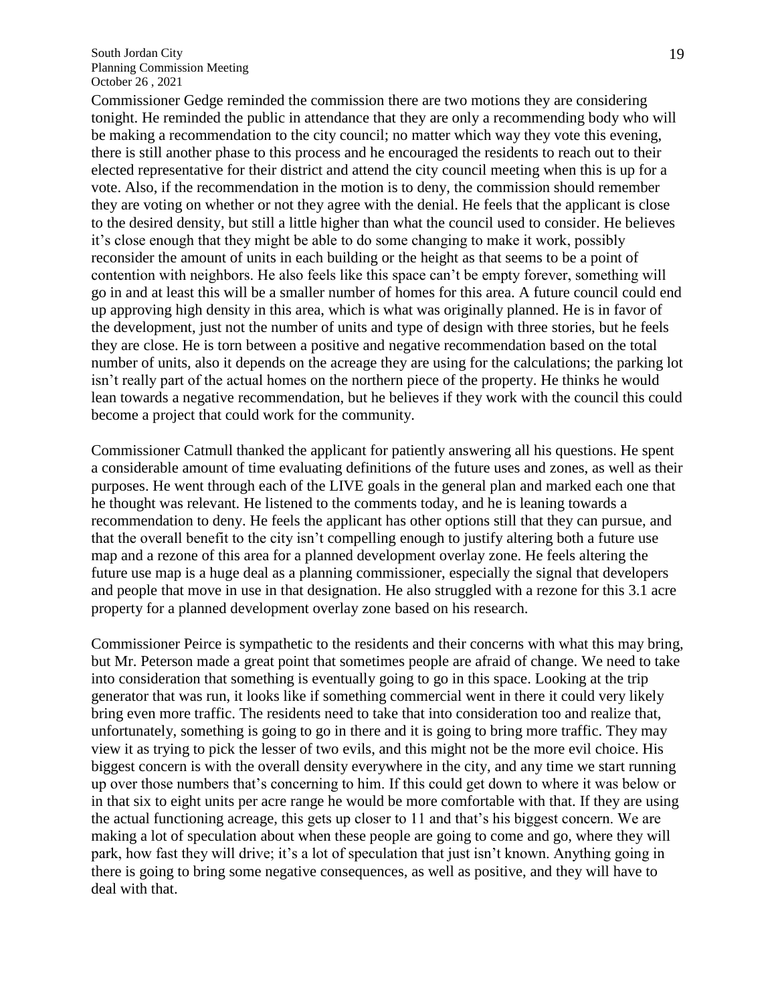Commissioner Gedge reminded the commission there are two motions they are considering tonight. He reminded the public in attendance that they are only a recommending body who will be making a recommendation to the city council; no matter which way they vote this evening, there is still another phase to this process and he encouraged the residents to reach out to their elected representative for their district and attend the city council meeting when this is up for a vote. Also, if the recommendation in the motion is to deny, the commission should remember they are voting on whether or not they agree with the denial. He feels that the applicant is close to the desired density, but still a little higher than what the council used to consider. He believes it's close enough that they might be able to do some changing to make it work, possibly reconsider the amount of units in each building or the height as that seems to be a point of contention with neighbors. He also feels like this space can't be empty forever, something will go in and at least this will be a smaller number of homes for this area. A future council could end up approving high density in this area, which is what was originally planned. He is in favor of the development, just not the number of units and type of design with three stories, but he feels they are close. He is torn between a positive and negative recommendation based on the total number of units, also it depends on the acreage they are using for the calculations; the parking lot isn't really part of the actual homes on the northern piece of the property. He thinks he would lean towards a negative recommendation, but he believes if they work with the council this could become a project that could work for the community.

Commissioner Catmull thanked the applicant for patiently answering all his questions. He spent a considerable amount of time evaluating definitions of the future uses and zones, as well as their purposes. He went through each of the LIVE goals in the general plan and marked each one that he thought was relevant. He listened to the comments today, and he is leaning towards a recommendation to deny. He feels the applicant has other options still that they can pursue, and that the overall benefit to the city isn't compelling enough to justify altering both a future use map and a rezone of this area for a planned development overlay zone. He feels altering the future use map is a huge deal as a planning commissioner, especially the signal that developers and people that move in use in that designation. He also struggled with a rezone for this 3.1 acre property for a planned development overlay zone based on his research.

Commissioner Peirce is sympathetic to the residents and their concerns with what this may bring, but Mr. Peterson made a great point that sometimes people are afraid of change. We need to take into consideration that something is eventually going to go in this space. Looking at the trip generator that was run, it looks like if something commercial went in there it could very likely bring even more traffic. The residents need to take that into consideration too and realize that, unfortunately, something is going to go in there and it is going to bring more traffic. They may view it as trying to pick the lesser of two evils, and this might not be the more evil choice. His biggest concern is with the overall density everywhere in the city, and any time we start running up over those numbers that's concerning to him. If this could get down to where it was below or in that six to eight units per acre range he would be more comfortable with that. If they are using the actual functioning acreage, this gets up closer to 11 and that's his biggest concern. We are making a lot of speculation about when these people are going to come and go, where they will park, how fast they will drive; it's a lot of speculation that just isn't known. Anything going in there is going to bring some negative consequences, as well as positive, and they will have to deal with that.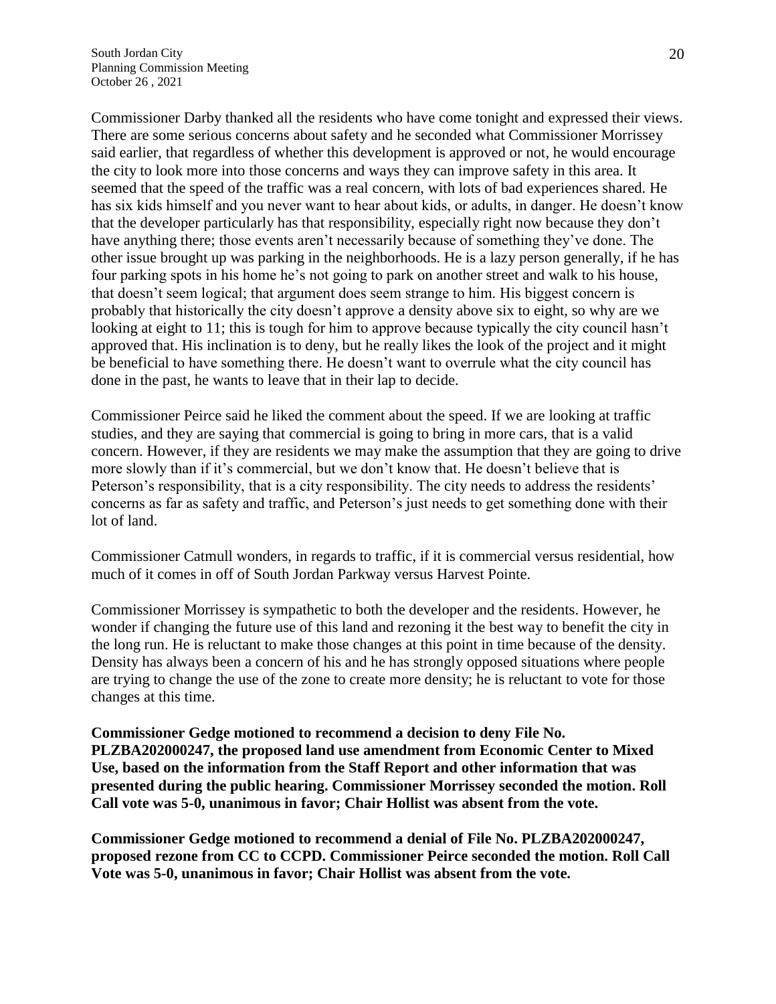Commissioner Darby thanked all the residents who have come tonight and expressed their views. There are some serious concerns about safety and he seconded what Commissioner Morrissey said earlier, that regardless of whether this development is approved or not, he would encourage the city to look more into those concerns and ways they can improve safety in this area. It seemed that the speed of the traffic was a real concern, with lots of bad experiences shared. He has six kids himself and you never want to hear about kids, or adults, in danger. He doesn't know that the developer particularly has that responsibility, especially right now because they don't have anything there; those events aren't necessarily because of something they've done. The other issue brought up was parking in the neighborhoods. He is a lazy person generally, if he has four parking spots in his home he's not going to park on another street and walk to his house, that doesn't seem logical; that argument does seem strange to him. His biggest concern is probably that historically the city doesn't approve a density above six to eight, so why are we looking at eight to 11; this is tough for him to approve because typically the city council hasn't approved that. His inclination is to deny, but he really likes the look of the project and it might be beneficial to have something there. He doesn't want to overrule what the city council has done in the past, he wants to leave that in their lap to decide.

Commissioner Peirce said he liked the comment about the speed. If we are looking at traffic studies, and they are saying that commercial is going to bring in more cars, that is a valid concern. However, if they are residents we may make the assumption that they are going to drive more slowly than if it's commercial, but we don't know that. He doesn't believe that is Peterson's responsibility, that is a city responsibility. The city needs to address the residents' concerns as far as safety and traffic, and Peterson's just needs to get something done with their lot of land.

Commissioner Catmull wonders, in regards to traffic, if it is commercial versus residential, how much of it comes in off of South Jordan Parkway versus Harvest Pointe.

Commissioner Morrissey is sympathetic to both the developer and the residents. However, he wonder if changing the future use of this land and rezoning it the best way to benefit the city in the long run. He is reluctant to make those changes at this point in time because of the density. Density has always been a concern of his and he has strongly opposed situations where people are trying to change the use of the zone to create more density; he is reluctant to vote for those changes at this time.

**Commissioner Gedge motioned to recommend a decision to deny File No. PLZBA202000247, the proposed land use amendment from Economic Center to Mixed Use, based on the information from the Staff Report and other information that was presented during the public hearing. Commissioner Morrissey seconded the motion. Roll Call vote was 5-0, unanimous in favor; Chair Hollist was absent from the vote.**

**Commissioner Gedge motioned to recommend a denial of File No. PLZBA202000247, proposed rezone from CC to CCPD. Commissioner Peirce seconded the motion. Roll Call Vote was 5-0, unanimous in favor; Chair Hollist was absent from the vote.**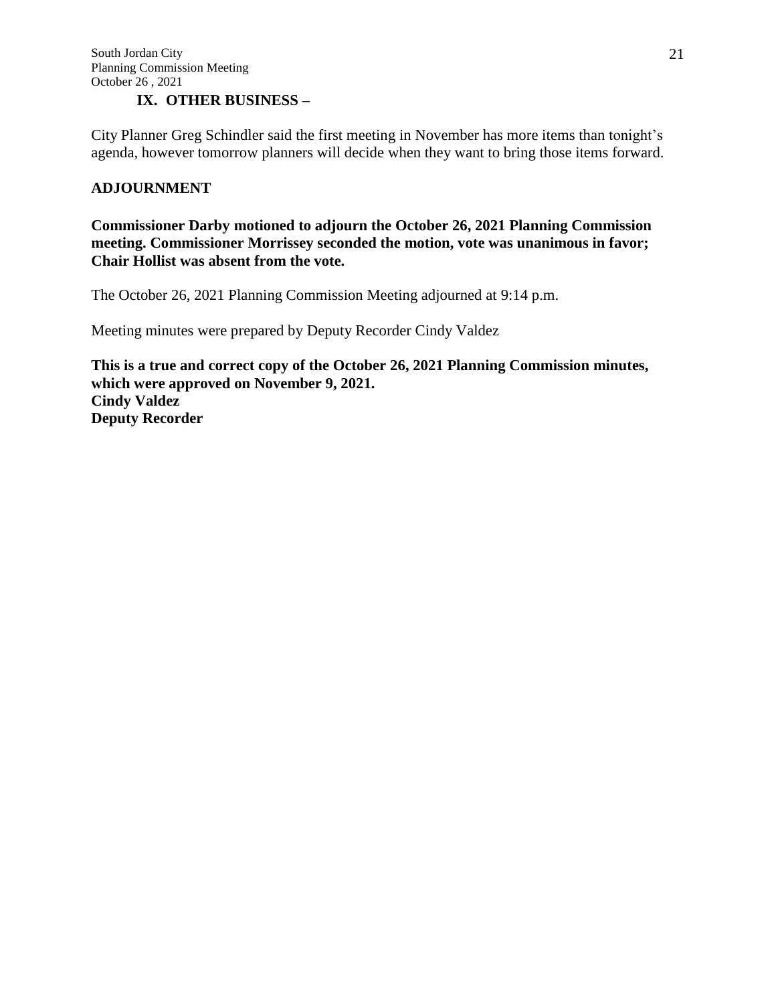## **IX. OTHER BUSINESS –**

City Planner Greg Schindler said the first meeting in November has more items than tonight's agenda, however tomorrow planners will decide when they want to bring those items forward.

## **ADJOURNMENT**

**Commissioner Darby motioned to adjourn the October 26, 2021 Planning Commission meeting. Commissioner Morrissey seconded the motion, vote was unanimous in favor; Chair Hollist was absent from the vote.**

The October 26, 2021 Planning Commission Meeting adjourned at 9:14 p.m.

Meeting minutes were prepared by Deputy Recorder Cindy Valdez

**This is a true and correct copy of the October 26, 2021 Planning Commission minutes, which were approved on November 9, 2021. Cindy Valdez Deputy Recorder**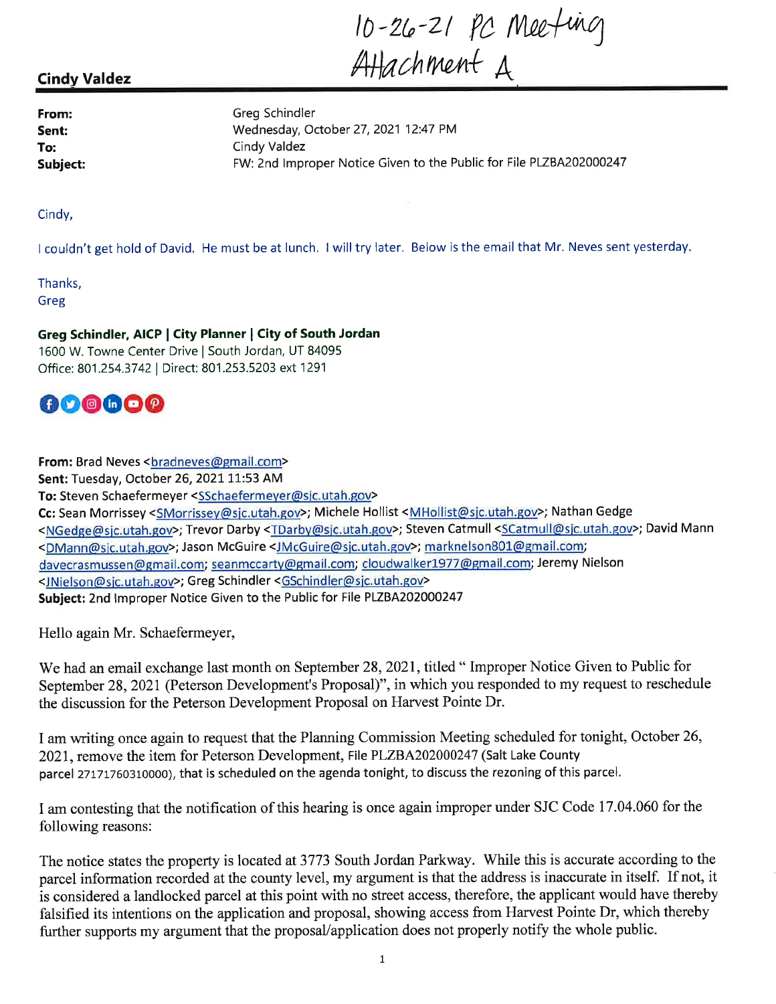10-26-21 pc Meeting

# **Cindy Valdez**

From: Sent: To: Subject: **Greg Schindler** Wednesday, October 27, 2021 12:47 PM Cindy Valdez FW: 2nd Improper Notice Given to the Public for File PLZBA202000247

Cindy,

I couldn't get hold of David. He must be at lunch. I will try later. Below is the email that Mr. Neves sent yesterday.

Thanks, Greg

Greg Schindler, AICP | City Planner | City of South Jordan 1600 W. Towne Center Drive | South Jordan, UT 84095 Office: 801.254.3742 | Direct: 801.253.5203 ext 1291



From: Brad Neves <bradneves@gmail.com> Sent: Tuesday, October 26, 2021 11:53 AM To: Steven Schaefermeyer <SSchaefermeyer@sjc.utah.gov> Cc: Sean Morrissey <SMorrissey@sjc.utah.gov>; Michele Hollist <MHollist@sjc.utah.gov>; Nathan Gedge <NGedge@sjc.utah.gov>; Trevor Darby <TDarby@sjc.utah.gov>; Steven Catmull <SCatmull@sjc.utah.gov>; David Mann <DMann@sjc.utah.gov>; Jason McGuire <JMcGuire@sjc.utah.gov>; marknelson801@gmail.com; davecrasmussen@gmail.com; seanmccarty@gmail.com; cloudwalker1977@gmail.com; Jeremy Nielson <JNielson@sjc.utah.gov>; Greg Schindler <GSchindler@sjc.utah.gov> Subject: 2nd Improper Notice Given to the Public for File PLZBA202000247

Hello again Mr. Schaefermeyer,

We had an email exchange last month on September 28, 2021, titled "Improper Notice Given to Public for September 28, 2021 (Peterson Development's Proposal)", in which you responded to my request to reschedule the discussion for the Peterson Development Proposal on Harvest Pointe Dr.

I am writing once again to request that the Planning Commission Meeting scheduled for tonight, October 26, 2021, remove the item for Peterson Development, File PLZBA202000247 (Salt Lake County parcel 27171760310000), that is scheduled on the agenda tonight, to discuss the rezoning of this parcel.

I am contesting that the notification of this hearing is once again improper under SJC Code 17.04.060 for the following reasons:

The notice states the property is located at 3773 South Jordan Parkway. While this is accurate according to the parcel information recorded at the county level, my argument is that the address is inaccurate in itself. If not, it is considered a landlocked parcel at this point with no street access, therefore, the applicant would have thereby falsified its intentions on the application and proposal, showing access from Harvest Pointe Dr, which thereby further supports my argument that the proposal/application does not properly notify the whole public.